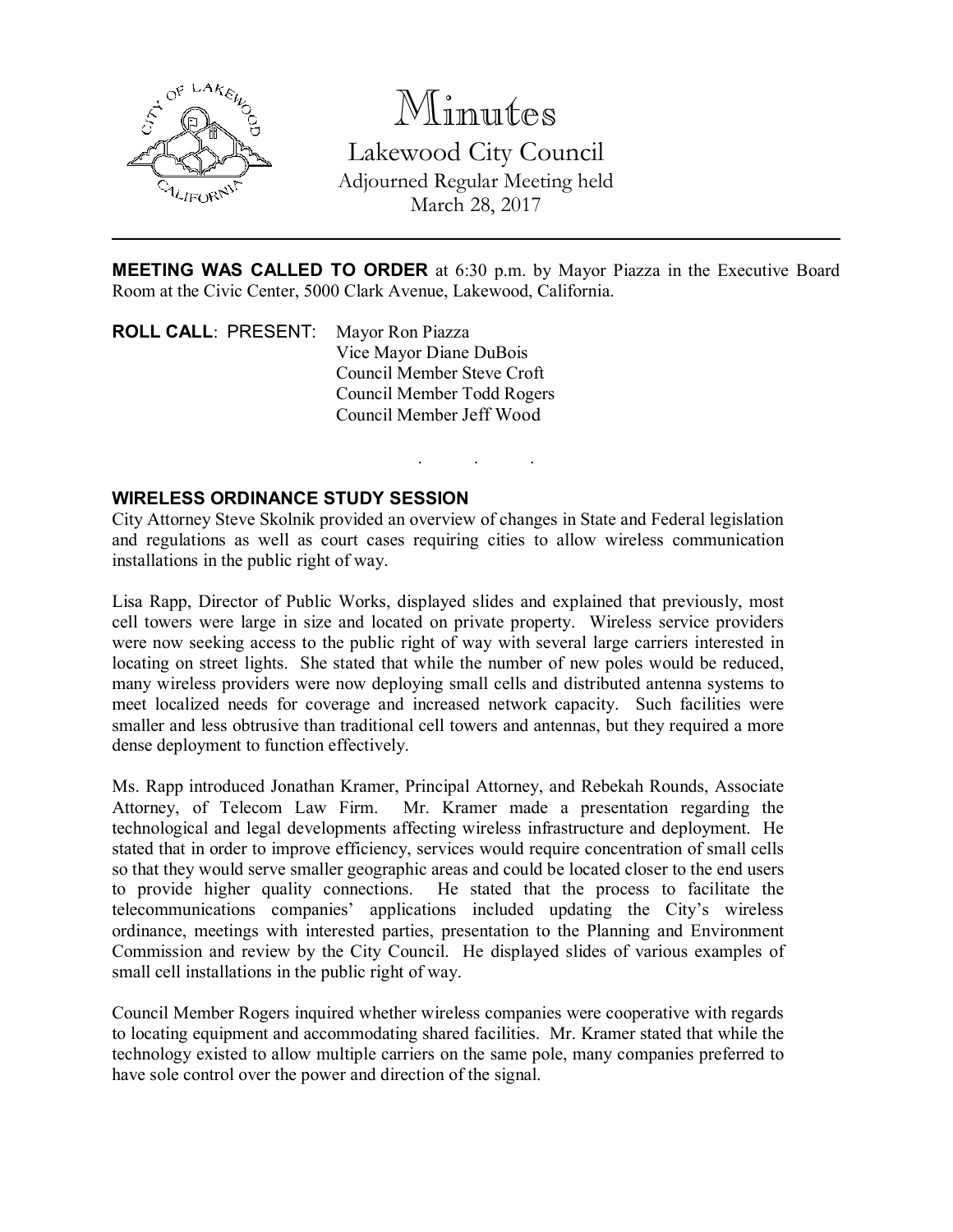

# Minutes

Lakewood City Council Adjourned Regular Meeting held March 28, 2017

MEETING WAS CALLED TO ORDER at 6:30 p.m. by Mayor Piazza in the Executive Board Room at the Civic Center, 5000 Clark Avenue, Lakewood, California.

. . .

ROLL CALL: PRESENT: Mayor Ron Piazza Vice Mayor Diane DuBois Council Member Steve Croft Council Member Todd Rogers Council Member Jeff Wood

### WIRELESS ORDINANCE STUDY SESSION

City Attorney Steve Skolnik provided an overview of changes in State and Federal legislation and regulations as well as court cases requiring cities to allow wireless communication installations in the public right of way.

Lisa Rapp, Director of Public Works, displayed slides and explained that previously, most cell towers were large in size and located on private property. Wireless service providers were now seeking access to the public right of way with several large carriers interested in locating on street lights. She stated that while the number of new poles would be reduced, many wireless providers were now deploying small cells and distributed antenna systems to meet localized needs for coverage and increased network capacity. Such facilities were smaller and less obtrusive than traditional cell towers and antennas, but they required a more dense deployment to function effectively.

Ms. Rapp introduced Jonathan Kramer, Principal Attorney, and Rebekah Rounds, Associate Attorney, of Telecom Law Firm. Mr. Kramer made a presentation regarding the technological and legal developments affecting wireless infrastructure and deployment. He stated that in order to improve efficiency, services would require concentration of small cells so that they would serve smaller geographic areas and could be located closer to the end users to provide higher quality connections. He stated that the process to facilitate the telecommunications companies' applications included updating the City's wireless ordinance, meetings with interested parties, presentation to the Planning and Environment Commission and review by the City Council. He displayed slides of various examples of small cell installations in the public right of way.

Council Member Rogers inquired whether wireless companies were cooperative with regards to locating equipment and accommodating shared facilities. Mr. Kramer stated that while the technology existed to allow multiple carriers on the same pole, many companies preferred to have sole control over the power and direction of the signal.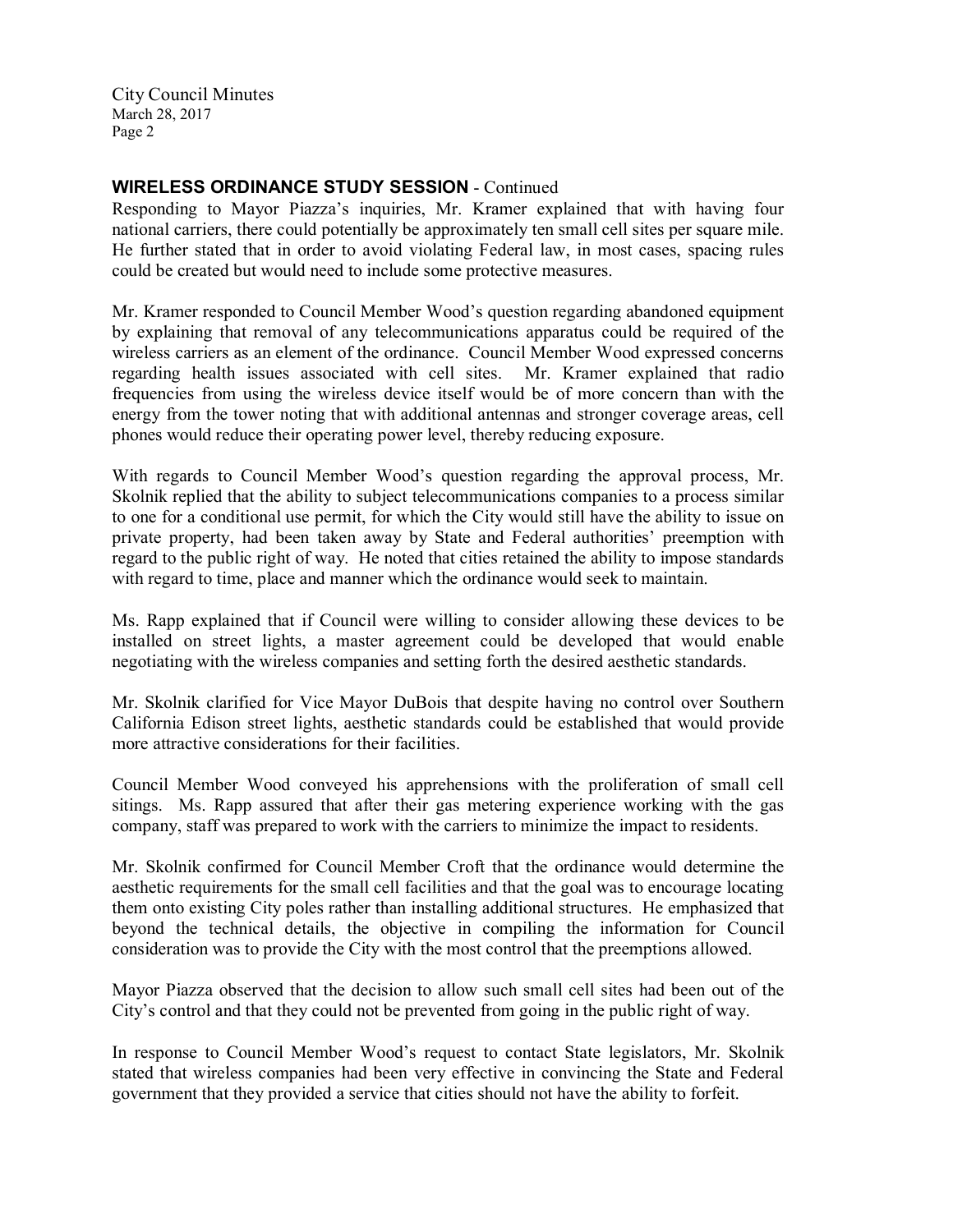City Council Minutes March 28, 2017 Page 2

### WIRELESS ORDINANCE STUDY SESSION - Continued

Responding to Mayor Piazza's inquiries, Mr. Kramer explained that with having four national carriers, there could potentially be approximately ten small cell sites per square mile. He further stated that in order to avoid violating Federal law, in most cases, spacing rules could be created but would need to include some protective measures.

Mr. Kramer responded to Council Member Wood's question regarding abandoned equipment by explaining that removal of any telecommunications apparatus could be required of the wireless carriers as an element of the ordinance. Council Member Wood expressed concerns regarding health issues associated with cell sites. Mr. Kramer explained that radio frequencies from using the wireless device itself would be of more concern than with the energy from the tower noting that with additional antennas and stronger coverage areas, cell phones would reduce their operating power level, thereby reducing exposure.

With regards to Council Member Wood's question regarding the approval process, Mr. Skolnik replied that the ability to subject telecommunications companies to a process similar to one for a conditional use permit, for which the City would still have the ability to issue on private property, had been taken away by State and Federal authorities' preemption with regard to the public right of way. He noted that cities retained the ability to impose standards with regard to time, place and manner which the ordinance would seek to maintain.

Ms. Rapp explained that if Council were willing to consider allowing these devices to be installed on street lights, a master agreement could be developed that would enable negotiating with the wireless companies and setting forth the desired aesthetic standards.

Mr. Skolnik clarified for Vice Mayor DuBois that despite having no control over Southern California Edison street lights, aesthetic standards could be established that would provide more attractive considerations for their facilities.

Council Member Wood conveyed his apprehensions with the proliferation of small cell sitings. Ms. Rapp assured that after their gas metering experience working with the gas company, staff was prepared to work with the carriers to minimize the impact to residents.

Mr. Skolnik confirmed for Council Member Croft that the ordinance would determine the aesthetic requirements for the small cell facilities and that the goal was to encourage locating them onto existing City poles rather than installing additional structures. He emphasized that beyond the technical details, the objective in compiling the information for Council consideration was to provide the City with the most control that the preemptions allowed.

Mayor Piazza observed that the decision to allow such small cell sites had been out of the City's control and that they could not be prevented from going in the public right of way.

In response to Council Member Wood's request to contact State legislators, Mr. Skolnik stated that wireless companies had been very effective in convincing the State and Federal government that they provided a service that cities should not have the ability to forfeit.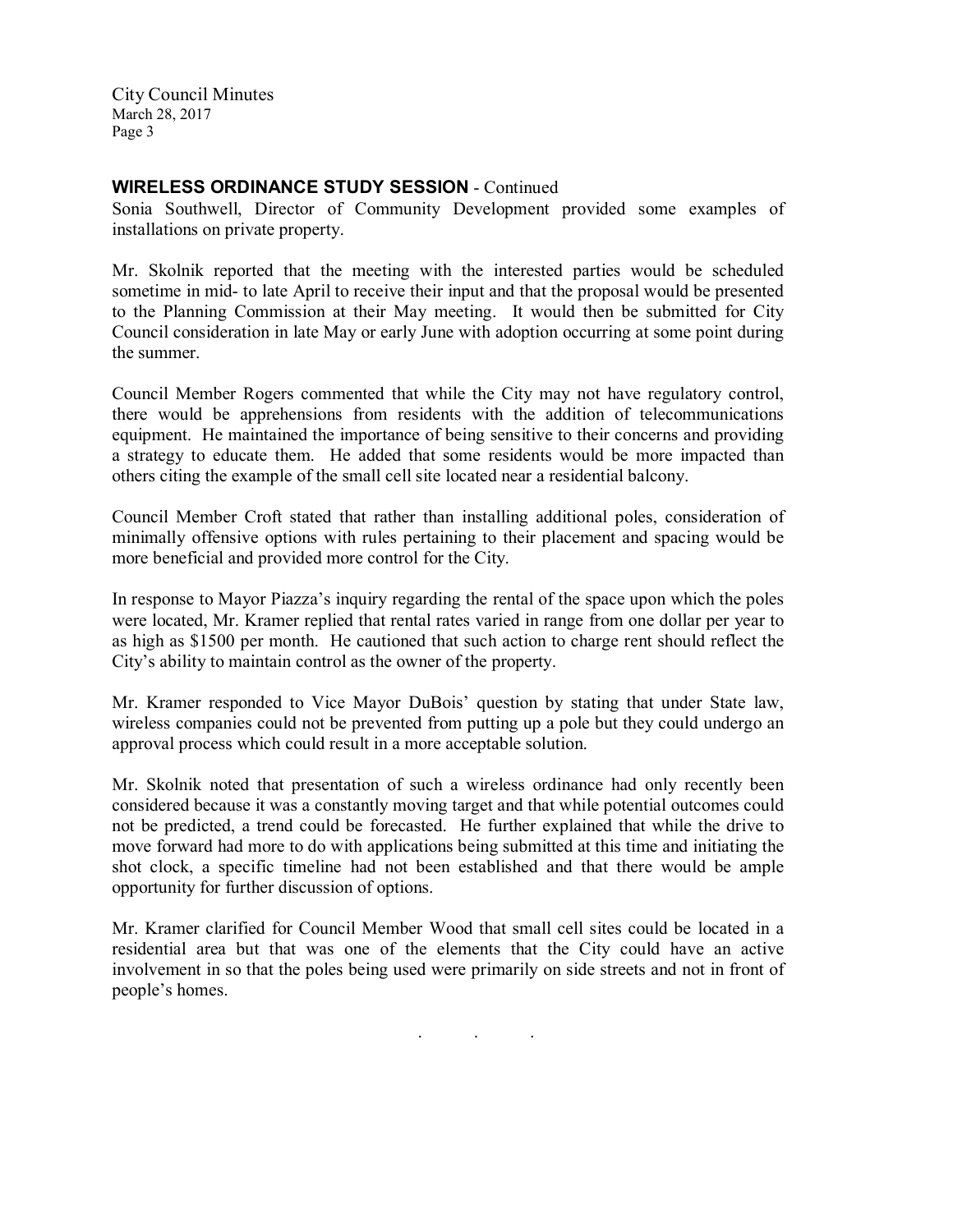City Council Minutes March 28, 2017 Page 3

#### WIRELESS ORDINANCE STUDY SESSION - Continued

Sonia Southwell, Director of Community Development provided some examples of installations on private property.

Mr. Skolnik reported that the meeting with the interested parties would be scheduled sometime in mid- to late April to receive their input and that the proposal would be presented to the Planning Commission at their May meeting. It would then be submitted for City Council consideration in late May or early June with adoption occurring at some point during the summer.

Council Member Rogers commented that while the City may not have regulatory control, there would be apprehensions from residents with the addition of telecommunications equipment. He maintained the importance of being sensitive to their concerns and providing a strategy to educate them. He added that some residents would be more impacted than others citing the example of the small cell site located near a residential balcony.

Council Member Croft stated that rather than installing additional poles, consideration of minimally offensive options with rules pertaining to their placement and spacing would be more beneficial and provided more control for the City.

In response to Mayor Piazza's inquiry regarding the rental of the space upon which the poles were located, Mr. Kramer replied that rental rates varied in range from one dollar per year to as high as \$1500 per month. He cautioned that such action to charge rent should reflect the City's ability to maintain control as the owner of the property.

Mr. Kramer responded to Vice Mayor DuBois' question by stating that under State law, wireless companies could not be prevented from putting up a pole but they could undergo an approval process which could result in a more acceptable solution.

Mr. Skolnik noted that presentation of such a wireless ordinance had only recently been considered because it was a constantly moving target and that while potential outcomes could not be predicted, a trend could be forecasted. He further explained that while the drive to move forward had more to do with applications being submitted at this time and initiating the shot clock, a specific timeline had not been established and that there would be ample opportunity for further discussion of options.

Mr. Kramer clarified for Council Member Wood that small cell sites could be located in a residential area but that was one of the elements that the City could have an active involvement in so that the poles being used were primarily on side streets and not in front of people's homes.

. . .